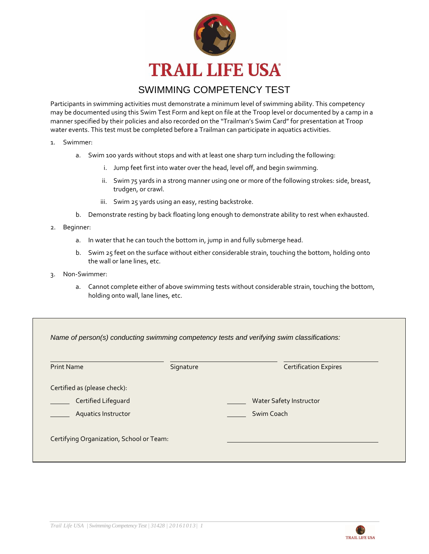

## SWIMMING COMPETENCY TEST

Participants in swimming activities must demonstrate a minimum level of swimming ability. This competency may be documented using this Swim Test Form and kept on file at the Troop level or documented by a camp in a manner specified by their policies and also recorded on the "Trailman's Swim Card" for presentation at Troop water events. This test must be completed before a Trailman can participate in aquatics activities.

- 1. Swimmer:
	- a. Swim 100 yards without stops and with at least one sharp turn including the following:
		- i. Jump feet first into water over the head, level off, and begin swimming.
		- ii. Swim 75 yards in a strong manner using one or more of the following strokes: side, breast, trudgen, or crawl.
		- iii. Swim 25 yards using an easy, resting backstroke.
	- b. Demonstrate resting by back floating long enough to demonstrate ability to rest when exhausted.
- 2. Beginner:
	- a. In water that he can touch the bottom in, jump in and fully submerge head.
	- b. Swim 25 feet on the surface without either considerable strain, touching the bottom, holding onto the wall or lane lines, etc.
- 3. Non-Swimmer:
	- a. Cannot complete either of above swimming tests without considerable strain, touching the bottom, holding onto wall, lane lines, etc.

| <b>Print Name</b>            | Signature | <b>Certification Expires</b> |  |  |  |
|------------------------------|-----------|------------------------------|--|--|--|
| Certified as (please check): |           |                              |  |  |  |
| Certified Lifeguard          |           | Water Safety Instructor      |  |  |  |
| <b>Aquatics Instructor</b>   |           | Swim Coach                   |  |  |  |